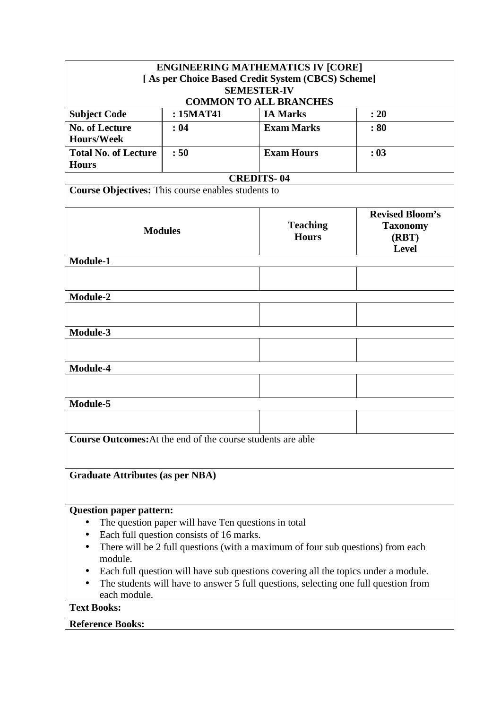|                                                             |                                                     | <b>ENGINEERING MATHEMATICS IV [CORE]</b>                                                                                                                                  |                                                                    |  |  |  |
|-------------------------------------------------------------|-----------------------------------------------------|---------------------------------------------------------------------------------------------------------------------------------------------------------------------------|--------------------------------------------------------------------|--|--|--|
|                                                             |                                                     | [As per Choice Based Credit System (CBCS) Scheme]                                                                                                                         |                                                                    |  |  |  |
|                                                             |                                                     | <b>SEMESTER-IV</b>                                                                                                                                                        |                                                                    |  |  |  |
| <b>Subject Code</b>                                         | : 15MAT41                                           | <b>COMMON TO ALL BRANCHES</b><br><b>IA Marks</b>                                                                                                                          | : 20                                                               |  |  |  |
|                                                             |                                                     |                                                                                                                                                                           |                                                                    |  |  |  |
| <b>No. of Lecture</b><br><b>Hours/Week</b>                  | :04                                                 | <b>Exam Marks</b>                                                                                                                                                         | :80                                                                |  |  |  |
| <b>Total No. of Lecture</b>                                 | :50                                                 | <b>Exam Hours</b>                                                                                                                                                         | : 03                                                               |  |  |  |
| <b>Hours</b>                                                |                                                     |                                                                                                                                                                           |                                                                    |  |  |  |
|                                                             |                                                     | <b>CREDITS-04</b>                                                                                                                                                         |                                                                    |  |  |  |
| Course Objectives: This course enables students to          |                                                     |                                                                                                                                                                           |                                                                    |  |  |  |
|                                                             |                                                     |                                                                                                                                                                           |                                                                    |  |  |  |
| <b>Modules</b>                                              |                                                     | <b>Teaching</b><br><b>Hours</b>                                                                                                                                           | <b>Revised Bloom's</b><br><b>Taxonomy</b><br>(RBT)<br><b>Level</b> |  |  |  |
| Module-1                                                    |                                                     |                                                                                                                                                                           |                                                                    |  |  |  |
|                                                             |                                                     |                                                                                                                                                                           |                                                                    |  |  |  |
|                                                             |                                                     |                                                                                                                                                                           |                                                                    |  |  |  |
| <b>Module-2</b>                                             |                                                     |                                                                                                                                                                           |                                                                    |  |  |  |
|                                                             |                                                     |                                                                                                                                                                           |                                                                    |  |  |  |
| Module-3                                                    |                                                     |                                                                                                                                                                           |                                                                    |  |  |  |
|                                                             |                                                     |                                                                                                                                                                           |                                                                    |  |  |  |
|                                                             |                                                     |                                                                                                                                                                           |                                                                    |  |  |  |
| Module-4                                                    |                                                     |                                                                                                                                                                           |                                                                    |  |  |  |
|                                                             |                                                     |                                                                                                                                                                           |                                                                    |  |  |  |
| Module-5                                                    |                                                     |                                                                                                                                                                           |                                                                    |  |  |  |
|                                                             |                                                     |                                                                                                                                                                           |                                                                    |  |  |  |
|                                                             |                                                     |                                                                                                                                                                           |                                                                    |  |  |  |
| Course Outcomes: At the end of the course students are able |                                                     |                                                                                                                                                                           |                                                                    |  |  |  |
|                                                             |                                                     |                                                                                                                                                                           |                                                                    |  |  |  |
| <b>Graduate Attributes (as per NBA)</b>                     |                                                     |                                                                                                                                                                           |                                                                    |  |  |  |
|                                                             |                                                     |                                                                                                                                                                           |                                                                    |  |  |  |
|                                                             |                                                     |                                                                                                                                                                           |                                                                    |  |  |  |
| <b>Question paper pattern:</b>                              |                                                     |                                                                                                                                                                           |                                                                    |  |  |  |
| $\bullet$                                                   | The question paper will have Ten questions in total |                                                                                                                                                                           |                                                                    |  |  |  |
| Each full question consists of 16 marks.                    |                                                     |                                                                                                                                                                           |                                                                    |  |  |  |
|                                                             |                                                     | There will be 2 full questions (with a maximum of four sub questions) from each                                                                                           |                                                                    |  |  |  |
| module.                                                     |                                                     |                                                                                                                                                                           |                                                                    |  |  |  |
|                                                             |                                                     | Each full question will have sub questions covering all the topics under a module.<br>The students will have to answer 5 full questions, selecting one full question from |                                                                    |  |  |  |
| each module.                                                |                                                     |                                                                                                                                                                           |                                                                    |  |  |  |
| <b>Text Books:</b>                                          |                                                     |                                                                                                                                                                           |                                                                    |  |  |  |
| <b>Reference Books:</b>                                     |                                                     |                                                                                                                                                                           |                                                                    |  |  |  |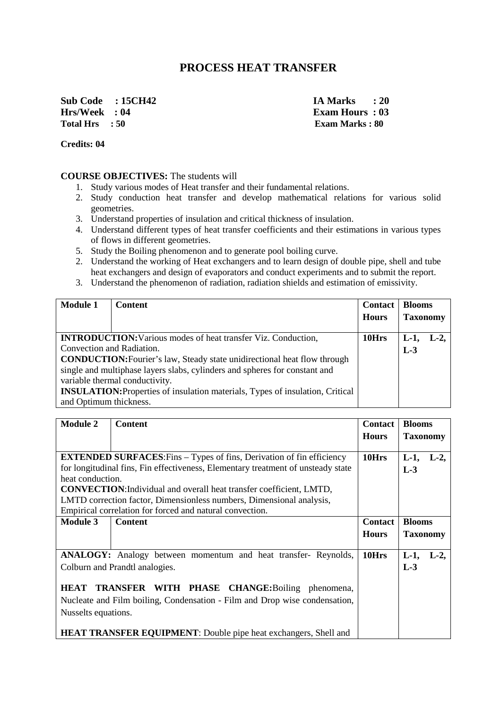# **PROCESS HEAT TRANSFER**

**Sub Code : 15CH42 IA Marks : 20 Hrs/Week : 04 Exam Hours : 03 Total Hrs : 50 Exam Marks : 80** 

**Credits: 04** 

#### **COURSE OBJECTIVES:** The students will

- 1. Study various modes of Heat transfer and their fundamental relations.
- 2. Study conduction heat transfer and develop mathematical relations for various solid geometries.
- 3. Understand properties of insulation and critical thickness of insulation.
- 4. Understand different types of heat transfer coefficients and their estimations in various types of flows in different geometries.
- 5. Study the Boiling phenomenon and to generate pool boiling curve.
- 2. Understand the working of Heat exchangers and to learn design of double pipe, shell and tube heat exchangers and design of evaporators and conduct experiments and to submit the report.
- 3. Understand the phenomenon of radiation, radiation shields and estimation of emissivity.

| <b>Module 1</b>                                                                 | <b>Content</b>                                                                       | <b>Contact</b> | <b>Blooms</b>   |        |
|---------------------------------------------------------------------------------|--------------------------------------------------------------------------------------|----------------|-----------------|--------|
|                                                                                 |                                                                                      | <b>Hours</b>   | <b>Taxonomy</b> |        |
|                                                                                 |                                                                                      |                |                 |        |
|                                                                                 | <b>INTRODUCTION:</b> Various modes of heat transfer Viz. Conduction,                 | 10Hrs          | $L-1$           | $L-2,$ |
| Convection and Radiation.                                                       |                                                                                      |                | $L-3$           |        |
| <b>CONDUCTION:</b> Fourier's law, Steady state unidirectional heat flow through |                                                                                      |                |                 |        |
|                                                                                 | single and multiphase layers slabs, cylinders and spheres for constant and           |                |                 |        |
|                                                                                 | variable thermal conductivity.                                                       |                |                 |        |
|                                                                                 | <b>INSULATION:</b> Properties of insulation materials, Types of insulation, Critical |                |                 |        |
| and Optimum thickness.                                                          |                                                                                      |                |                 |        |

| <b>Module 2</b>                                                              | <b>Content</b>                                                                   | <b>Contact</b>   | <b>Blooms</b>    |  |
|------------------------------------------------------------------------------|----------------------------------------------------------------------------------|------------------|------------------|--|
|                                                                              |                                                                                  | <b>Hours</b>     | <b>Taxonomy</b>  |  |
|                                                                              |                                                                                  |                  |                  |  |
| <b>EXTENDED SURFACES:</b> Fins – Types of fins, Derivation of fin efficiency | 10Hrs                                                                            | $L-1$ ,<br>$L-2$ |                  |  |
|                                                                              | for longitudinal fins, Fin effectiveness, Elementary treatment of unsteady state |                  | $L-3$            |  |
| heat conduction.                                                             |                                                                                  |                  |                  |  |
|                                                                              | <b>CONVECTION:</b> Individual and overall heat transfer coefficient, LMTD,       |                  |                  |  |
|                                                                              | LMTD correction factor, Dimensionless numbers, Dimensional analysis,             |                  |                  |  |
|                                                                              | Empirical correlation for forced and natural convection.                         |                  |                  |  |
| <b>Module 3</b>                                                              | <b>Content</b>                                                                   | <b>Contact</b>   | <b>Blooms</b>    |  |
|                                                                              |                                                                                  | <b>Hours</b>     | <b>Taxonomy</b>  |  |
|                                                                              |                                                                                  |                  |                  |  |
|                                                                              | <b>ANALOGY:</b> Analogy between momentum and heat transfer- Reynolds,            | 10Hrs            | $L-1$ ,<br>$L-2$ |  |
|                                                                              | Colburn and Prandtl analogies.                                                   |                  | $L-3$            |  |
|                                                                              |                                                                                  |                  |                  |  |
|                                                                              | HEAT TRANSFER WITH PHASE CHANGE: Boiling phenomena,                              |                  |                  |  |
| Nucleate and Film boiling, Condensation - Film and Drop wise condensation,   |                                                                                  |                  |                  |  |
| Nusselts equations.                                                          |                                                                                  |                  |                  |  |
|                                                                              |                                                                                  |                  |                  |  |
| HEAT TRANSFER EQUIPMENT: Double pipe heat exchangers, Shell and              |                                                                                  |                  |                  |  |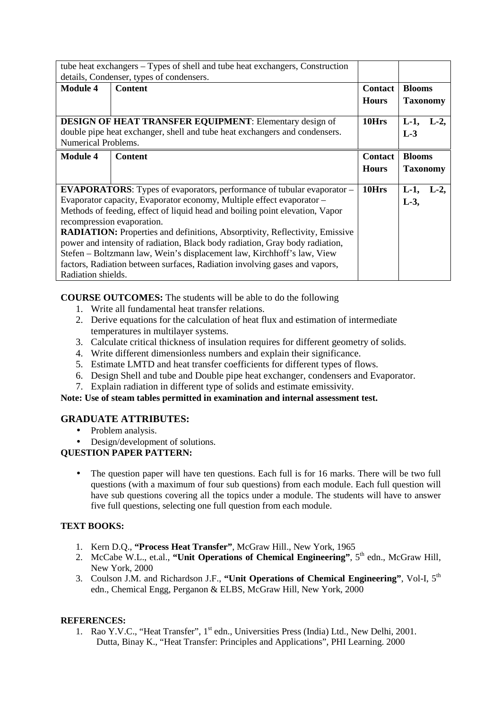| tube heat exchangers – Types of shell and tube heat exchangers, Construction<br>details, Condenser, types of condensers.                                            |                                                                                                                                                                                                                                                                                                                                                                                                                                                                                                                                                                                                    |                                |                                  |
|---------------------------------------------------------------------------------------------------------------------------------------------------------------------|----------------------------------------------------------------------------------------------------------------------------------------------------------------------------------------------------------------------------------------------------------------------------------------------------------------------------------------------------------------------------------------------------------------------------------------------------------------------------------------------------------------------------------------------------------------------------------------------------|--------------------------------|----------------------------------|
| <b>Module 4</b>                                                                                                                                                     | <b>Content</b>                                                                                                                                                                                                                                                                                                                                                                                                                                                                                                                                                                                     | <b>Contact</b><br><b>Hours</b> | <b>Blooms</b><br><b>Taxonomy</b> |
| <b>DESIGN OF HEAT TRANSFER EQUIPMENT:</b> Elementary design of<br>double pipe heat exchanger, shell and tube heat exchangers and condensers.<br>Numerical Problems. | 10Hrs                                                                                                                                                                                                                                                                                                                                                                                                                                                                                                                                                                                              | $L-1$ ,<br>$L-2$<br>$L-3$      |                                  |
| <b>Module 4</b>                                                                                                                                                     | <b>Content</b>                                                                                                                                                                                                                                                                                                                                                                                                                                                                                                                                                                                     | <b>Contact</b>                 | <b>Blooms</b>                    |
|                                                                                                                                                                     |                                                                                                                                                                                                                                                                                                                                                                                                                                                                                                                                                                                                    | <b>Hours</b>                   | <b>Taxonomy</b>                  |
| Radiation shields.                                                                                                                                                  | <b>EVAPORATORS:</b> Types of evaporators, performance of tubular evaporator –<br>Evaporator capacity, Evaporator economy, Multiple effect evaporator -<br>Methods of feeding, effect of liquid head and boiling point elevation, Vapor<br>recompression evaporation.<br><b>RADIATION:</b> Properties and definitions, Absorptivity, Reflectivity, Emissive<br>power and intensity of radiation, Black body radiation, Gray body radiation,<br>Stefen - Boltzmann law, Wein's displacement law, Kirchhoff's law, View<br>factors, Radiation between surfaces, Radiation involving gases and vapors, | 10Hrs                          | $L-1$ ,<br>$L-2$<br>$L-3$ ,      |

**COURSE OUTCOMES:** The students will be able to do the following

- 1. Write all fundamental heat transfer relations.
- 2. Derive equations for the calculation of heat flux and estimation of intermediate temperatures in multilayer systems.
- 3. Calculate critical thickness of insulation requires for different geometry of solids.
- 4. Write different dimensionless numbers and explain their significance.
- 5. Estimate LMTD and heat transfer coefficients for different types of flows.
- 6. Design Shell and tube and Double pipe heat exchanger, condensers and Evaporator.
- 7. Explain radiation in different type of solids and estimate emissivity.

**Note: Use of steam tables permitted in examination and internal assessment test.** 

## **GRADUATE ATTRIBUTES:**

- Problem analysis.
- Design/development of solutions.

## **QUESTION PAPER PATTERN:**

• The question paper will have ten questions. Each full is for 16 marks. There will be two full questions (with a maximum of four sub questions) from each module. Each full question will have sub questions covering all the topics under a module. The students will have to answer five full questions, selecting one full question from each module.

## **TEXT BOOKS:**

- 1. Kern D.Q., **"Process Heat Transfer"**, McGraw Hill., New York, 1965
- 2. McCabe W.L., et.al., "Unit Operations of Chemical Engineering", 5<sup>th</sup> edn., McGraw Hill, New York, 2000
- 3. Coulson J.M. and Richardson J.F., **"Unit Operations of Chemical Engineering"**, Vol-I, 5th edn., Chemical Engg, Perganon & ELBS, McGraw Hill, New York, 2000

## **REFERENCES:**

1. Rao Y.V.C., "Heat Transfer", 1<sup>st</sup> edn., Universities Press (India) Ltd., New Delhi, 2001. Dutta, Binay K., "Heat Transfer: Principles and Applications", PHI Learning. 2000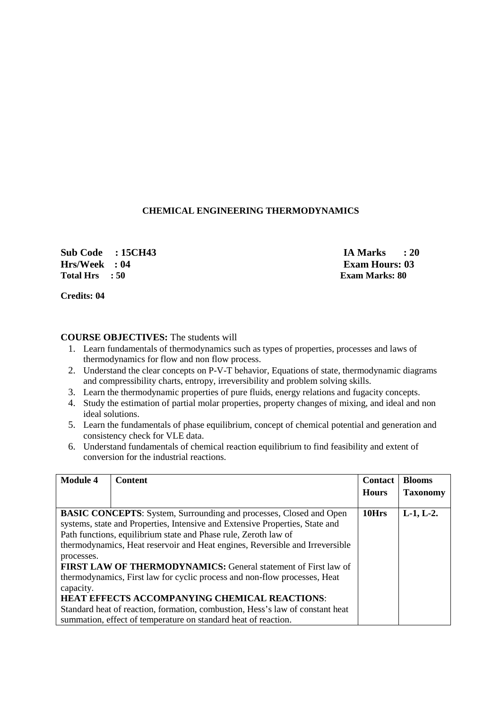### **CHEMICAL ENGINEERING THERMODYNAMICS**

**Sub Code : 15CH43 IA Marks : 20 Hrs/Week : 04 Exam Hours: 03**<br> **F**otal Hrs : 50 Exam Marks: 80

**Exam Marks: 80** 

**Credits: 04** 

### **COURSE OBJECTIVES:** The students will

- 1. Learn fundamentals of thermodynamics such as types of properties, processes and laws of thermodynamics for flow and non flow process.
- 2. Understand the clear concepts on P-V-T behavior, Equations of state, thermodynamic diagrams and compressibility charts, entropy, irreversibility and problem solving skills.
- 3. Learn the thermodynamic properties of pure fluids, energy relations and fugacity concepts.
- 4. Study the estimation of partial molar properties, property changes of mixing, and ideal and non ideal solutions.
- 5. Learn the fundamentals of phase equilibrium, concept of chemical potential and generation and consistency check for VLE data.
- 6. Understand fundamentals of chemical reaction equilibrium to find feasibility and extent of conversion for the industrial reactions.

| <b>Module 4</b>         | <b>Content</b>                                                                                                                                                                                                                                                                                                                                                                                                                                                                                                                                                                                                                                                                | <b>Contact</b> | <b>Blooms</b>   |
|-------------------------|-------------------------------------------------------------------------------------------------------------------------------------------------------------------------------------------------------------------------------------------------------------------------------------------------------------------------------------------------------------------------------------------------------------------------------------------------------------------------------------------------------------------------------------------------------------------------------------------------------------------------------------------------------------------------------|----------------|-----------------|
|                         |                                                                                                                                                                                                                                                                                                                                                                                                                                                                                                                                                                                                                                                                               | <b>Hours</b>   | <b>Taxonomy</b> |
| processes.<br>capacity. | <b>BASIC CONCEPTS:</b> System, Surrounding and processes, Closed and Open<br>systems, state and Properties, Intensive and Extensive Properties, State and<br>Path functions, equilibrium state and Phase rule, Zeroth law of<br>thermodynamics, Heat reservoir and Heat engines, Reversible and Irreversible<br><b>FIRST LAW OF THERMODYNAMICS: General statement of First law of</b><br>thermodynamics, First law for cyclic process and non-flow processes, Heat<br><b>HEAT EFFECTS ACCOMPANYING CHEMICAL REACTIONS:</b><br>Standard heat of reaction, formation, combustion, Hess's law of constant heat<br>summation, effect of temperature on standard heat of reaction. | 10Hrs          | $L-1, L-2.$     |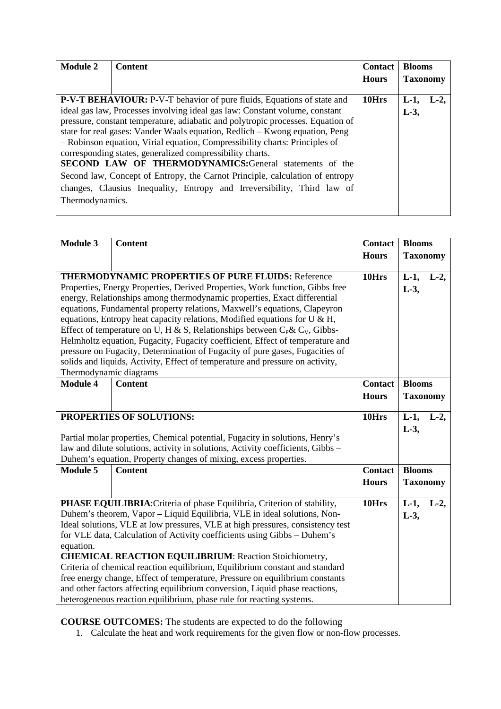| <b>Module 2</b> | <b>Content</b>                                                                  | <b>Contact</b> | <b>Blooms</b>   |       |
|-----------------|---------------------------------------------------------------------------------|----------------|-----------------|-------|
|                 |                                                                                 | <b>Hours</b>   | <b>Taxonomy</b> |       |
|                 |                                                                                 |                |                 |       |
|                 | <b>P-V-T BEHAVIOUR:</b> P-V-T behavior of pure fluids, Equations of state and   | 10Hrs          | $L-1$           | $L-2$ |
|                 | ideal gas law, Processes involving ideal gas law: Constant volume, constant     |                | $L-3$ ,         |       |
|                 | pressure, constant temperature, adiabatic and polytropic processes. Equation of |                |                 |       |
|                 | state for real gases: Vander Waals equation, Redlich - Kwong equation, Peng     |                |                 |       |
|                 | - Robinson equation, Virial equation, Compressibility charts: Principles of     |                |                 |       |
|                 | corresponding states, generalized compressibility charts.                       |                |                 |       |
|                 | SECOND LAW OF THERMODYNAMICS:General statements of the                          |                |                 |       |
|                 | Second law, Concept of Entropy, the Carnot Principle, calculation of entropy    |                |                 |       |
|                 | changes, Clausius Inequality, Entropy and Irreversibility, Third law of         |                |                 |       |
| Thermodynamics. |                                                                                 |                |                 |       |
|                 |                                                                                 |                |                 |       |

| <b>Module 3</b>                                                                                                                                                                                                                                                                                                                                                                                                                                                                                                                                                                                                                                                                                                                                    | <b>Content</b>                                                                                                                                                                                                                                                                                                                                                                                                                                                                                                                                                                                                                                                                                            | <b>Contact</b><br><b>Hours</b> | <b>Blooms</b><br><b>Taxonomy</b> |
|----------------------------------------------------------------------------------------------------------------------------------------------------------------------------------------------------------------------------------------------------------------------------------------------------------------------------------------------------------------------------------------------------------------------------------------------------------------------------------------------------------------------------------------------------------------------------------------------------------------------------------------------------------------------------------------------------------------------------------------------------|-----------------------------------------------------------------------------------------------------------------------------------------------------------------------------------------------------------------------------------------------------------------------------------------------------------------------------------------------------------------------------------------------------------------------------------------------------------------------------------------------------------------------------------------------------------------------------------------------------------------------------------------------------------------------------------------------------------|--------------------------------|----------------------------------|
| <b>THERMODYNAMIC PROPERTIES OF PURE FLUIDS: Reference</b><br>Properties, Energy Properties, Derived Properties, Work function, Gibbs free<br>energy, Relationships among thermodynamic properties, Exact differential<br>equations, Fundamental property relations, Maxwell's equations, Clapeyron<br>equations, Entropy heat capacity relations, Modified equations for $U \& H$ ,<br>Effect of temperature on U, H & S, Relationships between $C_P$ & $C_V$ , Gibbs-<br>Helmholtz equation, Fugacity, Fugacity coefficient, Effect of temperature and<br>pressure on Fugacity, Determination of Fugacity of pure gases, Fugacities of<br>solids and liquids, Activity, Effect of temperature and pressure on activity,<br>Thermodynamic diagrams |                                                                                                                                                                                                                                                                                                                                                                                                                                                                                                                                                                                                                                                                                                           |                                | $L-1$ ,<br>$L-2$ ,<br>$L-3$ ,    |
| <b>Module 4</b>                                                                                                                                                                                                                                                                                                                                                                                                                                                                                                                                                                                                                                                                                                                                    | <b>Content</b>                                                                                                                                                                                                                                                                                                                                                                                                                                                                                                                                                                                                                                                                                            | <b>Contact</b><br><b>Hours</b> | <b>Blooms</b><br><b>Taxonomy</b> |
| PROPERTIES OF SOLUTIONS:<br>Partial molar properties, Chemical potential, Fugacity in solutions, Henry's<br>law and dilute solutions, activity in solutions, Activity coefficients, Gibbs -<br>Duhem's equation, Property changes of mixing, excess properties.                                                                                                                                                                                                                                                                                                                                                                                                                                                                                    |                                                                                                                                                                                                                                                                                                                                                                                                                                                                                                                                                                                                                                                                                                           |                                | $L-1$ ,<br>$L-2$ ,<br>$L-3$ ,    |
| <b>Module 5</b>                                                                                                                                                                                                                                                                                                                                                                                                                                                                                                                                                                                                                                                                                                                                    | <b>Content</b>                                                                                                                                                                                                                                                                                                                                                                                                                                                                                                                                                                                                                                                                                            | <b>Contact</b><br><b>Hours</b> | <b>Blooms</b><br><b>Taxonomy</b> |
| equation.                                                                                                                                                                                                                                                                                                                                                                                                                                                                                                                                                                                                                                                                                                                                          | PHASE EQUILIBRIA: Criteria of phase Equilibria, Criterion of stability,<br>Duhem's theorem, Vapor - Liquid Equilibria, VLE in ideal solutions, Non-<br>Ideal solutions, VLE at low pressures, VLE at high pressures, consistency test<br>for VLE data, Calculation of Activity coefficients using Gibbs - Duhem's<br><b>CHEMICAL REACTION EQUILIBRIUM: Reaction Stoichiometry,</b><br>Criteria of chemical reaction equilibrium, Equilibrium constant and standard<br>free energy change, Effect of temperature, Pressure on equilibrium constants<br>and other factors affecting equilibrium conversion, Liquid phase reactions,<br>heterogeneous reaction equilibrium, phase rule for reacting systems. | 10Hrs                          | $L-1$ ,<br>$L-2$ ,<br>$L-3$ ,    |

**COURSE OUTCOMES:** The students are expected to do the following

1. Calculate the heat and work requirements for the given flow or non-flow processes.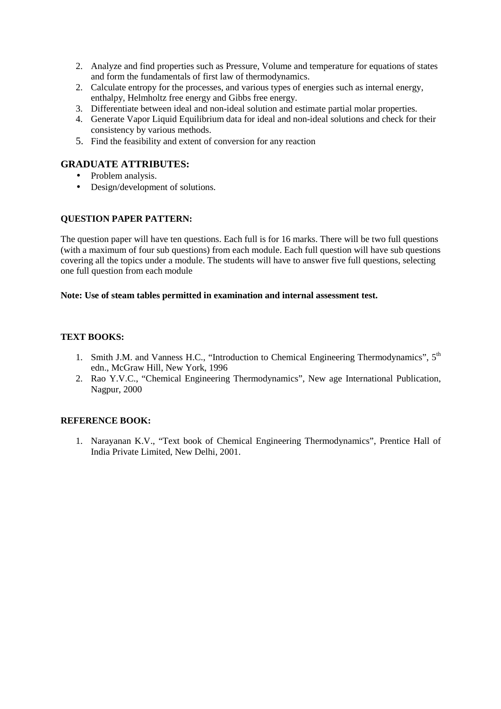- 2. Analyze and find properties such as Pressure, Volume and temperature for equations of states and form the fundamentals of first law of thermodynamics.
- 2. Calculate entropy for the processes, and various types of energies such as internal energy, enthalpy, Helmholtz free energy and Gibbs free energy.
- 3. Differentiate between ideal and non-ideal solution and estimate partial molar properties.
- 4. Generate Vapor Liquid Equilibrium data for ideal and non-ideal solutions and check for their consistency by various methods.
- 5. Find the feasibility and extent of conversion for any reaction

#### **GRADUATE ATTRIBUTES:**

- Problem analysis.
- Design/development of solutions.

#### **QUESTION PAPER PATTERN:**

The question paper will have ten questions. Each full is for 16 marks. There will be two full questions (with a maximum of four sub questions) from each module. Each full question will have sub questions covering all the topics under a module. The students will have to answer five full questions, selecting one full question from each module

#### **Note: Use of steam tables permitted in examination and internal assessment test.**

#### **TEXT BOOKS:**

- 1. Smith J.M. and Vanness H.C., "Introduction to Chemical Engineering Thermodynamics",  $5<sup>th</sup>$ edn., McGraw Hill, New York, 1996
- 2. Rao Y.V.C., "Chemical Engineering Thermodynamics", New age International Publication, Nagpur, 2000

#### **REFERENCE BOOK:**

1. Narayanan K.V., "Text book of Chemical Engineering Thermodynamics", Prentice Hall of India Private Limited, New Delhi, 2001.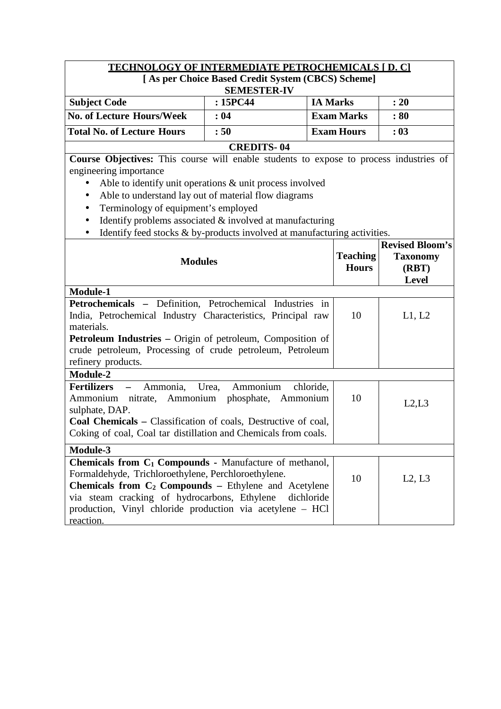| <b>TECHNOLOGY OF INTERMEDIATE PETROCHEMICALS [D. C]</b> |                                                   |                   |      |  |  |  |  |
|---------------------------------------------------------|---------------------------------------------------|-------------------|------|--|--|--|--|
|                                                         | [As per Choice Based Credit System (CBCS) Scheme] |                   |      |  |  |  |  |
|                                                         | <b>SEMESTER-IV</b>                                |                   |      |  |  |  |  |
| <b>Subject Code</b>                                     | :15PC44                                           | <b>IA Marks</b>   | : 20 |  |  |  |  |
| <b>No. of Lecture Hours/Week</b>                        | : 04                                              | <b>Exam Marks</b> | :80  |  |  |  |  |
| Total No. of Lecture Hours                              | <b>Exam Hours</b><br>: 50<br>: 03                 |                   |      |  |  |  |  |

### **CREDITS- 04**

**Course Objectives:** This course will enable students to expose to process industries of engineering importance

- Able to identify unit operations & unit process involved
- Able to understand lay out of material flow diagrams
- Terminology of equipment's employed
- $\bullet$  Identify problems associated & involved at manufacturing
- Identify feed stocks & by-products involved at manufacturing activities.

| <b>Modules</b>                                                                                                                   |    | <b>Revised Bloom's</b><br><b>Taxonomy</b><br>(RBT)<br><b>Level</b> |
|----------------------------------------------------------------------------------------------------------------------------------|----|--------------------------------------------------------------------|
| <b>Module-1</b>                                                                                                                  |    |                                                                    |
| Petrochemicals - Definition, Petrochemical Industries in                                                                         |    |                                                                    |
| India, Petrochemical Industry Characteristics, Principal raw                                                                     | 10 | L1, L2                                                             |
| materials.                                                                                                                       |    |                                                                    |
| <b>Petroleum Industries – Origin of petroleum, Composition of</b>                                                                |    |                                                                    |
| crude petroleum, Processing of crude petroleum, Petroleum                                                                        |    |                                                                    |
| refinery products.                                                                                                               |    |                                                                    |
| <b>Module-2</b>                                                                                                                  |    |                                                                    |
| Ammonia, Urea, Ammonium<br><b>Fertilizers</b> –<br>chloride,<br>Ammonium nitrate, Ammonium phosphate, Ammonium<br>sulphate, DAP. | 10 | L2, L3                                                             |
| <b>Coal Chemicals</b> – Classification of coals, Destructive of coal,                                                            |    |                                                                    |
| Coking of coal, Coal tar distillation and Chemicals from coals.                                                                  |    |                                                                    |
| Module-3                                                                                                                         |    |                                                                    |
| <b>Chemicals from <math>C_1</math> Compounds - Manufacture of methanol,</b>                                                      |    |                                                                    |
| Formaldehyde, Trichloroethylene, Perchloroethylene.                                                                              | 10 | L2, L3                                                             |
| <b>Chemicals from <math>C_2</math> Compounds – Ethylene and Acetylene</b>                                                        |    |                                                                    |
| via steam cracking of hydrocarbons, Ethylene<br>dichloride                                                                       |    |                                                                    |
| production, Vinyl chloride production via acetylene – HCl                                                                        |    |                                                                    |
| reaction.                                                                                                                        |    |                                                                    |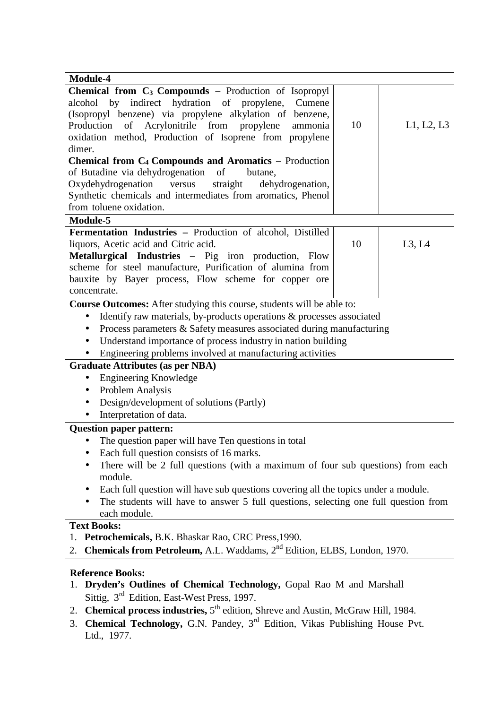| Module-4                                                                                                                                                       |    |            |  |  |  |
|----------------------------------------------------------------------------------------------------------------------------------------------------------------|----|------------|--|--|--|
| Chemical from C <sub>3</sub> Compounds - Production of Isopropyl                                                                                               |    |            |  |  |  |
| indirect hydration of propylene,<br>alcohol by<br>Cumene                                                                                                       |    |            |  |  |  |
| (Isopropyl benzene) via propylene alkylation of benzene,                                                                                                       |    |            |  |  |  |
| Production of Acrylonitrile from propylene<br>ammonia                                                                                                          | 10 | L1, L2, L3 |  |  |  |
| oxidation method, Production of Isoprene from propylene                                                                                                        |    |            |  |  |  |
| dimer.                                                                                                                                                         |    |            |  |  |  |
| Chemical from C <sub>4</sub> Compounds and Aromatics - Production                                                                                              |    |            |  |  |  |
| of Butadine via dehydrogenation<br>of<br>butane,                                                                                                               |    |            |  |  |  |
| Oxydehydrogenation<br>dehydrogenation,<br>versus<br>straight                                                                                                   |    |            |  |  |  |
| Synthetic chemicals and intermediates from aromatics, Phenol                                                                                                   |    |            |  |  |  |
| from toluene oxidation.                                                                                                                                        |    |            |  |  |  |
| Module-5                                                                                                                                                       |    |            |  |  |  |
| Fermentation Industries - Production of alcohol, Distilled                                                                                                     |    |            |  |  |  |
| liquors, Acetic acid and Citric acid.                                                                                                                          | 10 | L3, L4     |  |  |  |
| Metallurgical Industries - Pig iron production, Flow                                                                                                           |    |            |  |  |  |
| scheme for steel manufacture, Purification of alumina from                                                                                                     |    |            |  |  |  |
| bauxite by Bayer process, Flow scheme for copper ore                                                                                                           |    |            |  |  |  |
| concentrate.                                                                                                                                                   |    |            |  |  |  |
| Course Outcomes: After studying this course, students will be able to:                                                                                         |    |            |  |  |  |
| Identify raw materials, by-products operations & processes associated<br>$\bullet$                                                                             |    |            |  |  |  |
| Process parameters & Safety measures associated during manufacturing<br>٠                                                                                      |    |            |  |  |  |
| Understand importance of process industry in nation building<br>$\bullet$                                                                                      |    |            |  |  |  |
| Engineering problems involved at manufacturing activities                                                                                                      |    |            |  |  |  |
| <b>Graduate Attributes (as per NBA)</b>                                                                                                                        |    |            |  |  |  |
| <b>Engineering Knowledge</b>                                                                                                                                   |    |            |  |  |  |
| Problem Analysis<br>$\bullet$                                                                                                                                  |    |            |  |  |  |
| Design/development of solutions (Partly)<br>$\bullet$                                                                                                          |    |            |  |  |  |
| Interpretation of data.                                                                                                                                        |    |            |  |  |  |
|                                                                                                                                                                |    |            |  |  |  |
| <b>Question paper pattern:</b>                                                                                                                                 |    |            |  |  |  |
| The question paper will have Ten questions in total                                                                                                            |    |            |  |  |  |
| Each full question consists of 16 marks.                                                                                                                       |    |            |  |  |  |
| There will be 2 full questions (with a maximum of four sub questions) from each                                                                                |    |            |  |  |  |
| module.                                                                                                                                                        |    |            |  |  |  |
| Each full question will have sub questions covering all the topics under a module.                                                                             |    |            |  |  |  |
| The students will have to answer 5 full questions, selecting one full question from<br>٠                                                                       |    |            |  |  |  |
| each module.                                                                                                                                                   |    |            |  |  |  |
| <b>Text Books:</b>                                                                                                                                             |    |            |  |  |  |
| 1. Petrochemicals, B.K. Bhaskar Rao, CRC Press, 1990.                                                                                                          |    |            |  |  |  |
| Chemicals from Petroleum, A.L. Waddams, 2 <sup>nd</sup> Edition, ELBS, London, 1970.<br>2.                                                                     |    |            |  |  |  |
| <b>Reference Books:</b><br>Dryden's Outlines of Chemical Technology, Gopal Rao M and Marshall<br>1.<br>Sittig, 3 <sup>rd</sup> Edition, East-West Press, 1997. |    |            |  |  |  |

- 2. **Chemical process industries,** 5<sup>th</sup> edition, Shreve and Austin, McGraw Hill, 1984.
- 3. **Chemical Technology,** G.N. Pandey, 3rd Edition, Vikas Publishing House Pvt. Ltd., 1977.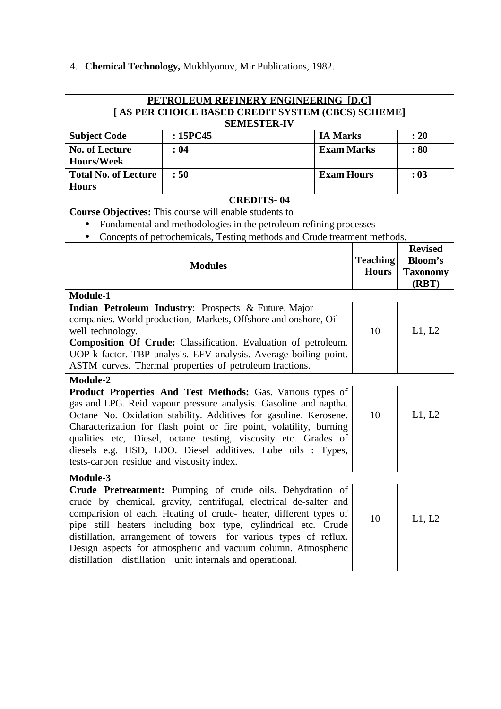| 4. Chemical Technology, Mukhlyonov, Mir Publications, 1982. |  |  |
|-------------------------------------------------------------|--|--|
|                                                             |  |  |

| PETROLEUM REFINERY ENGINEERING [D.C]                                                                                                                                                                                                                                                                                                                                                                                  |                                                                                                                         |                   |                                 |                                                     |  |  |  |
|-----------------------------------------------------------------------------------------------------------------------------------------------------------------------------------------------------------------------------------------------------------------------------------------------------------------------------------------------------------------------------------------------------------------------|-------------------------------------------------------------------------------------------------------------------------|-------------------|---------------------------------|-----------------------------------------------------|--|--|--|
|                                                                                                                                                                                                                                                                                                                                                                                                                       | [ AS PER CHOICE BASED CREDIT SYSTEM (CBCS) SCHEME]<br><b>SEMESTER-IV</b>                                                |                   |                                 |                                                     |  |  |  |
| <b>Subject Code</b>                                                                                                                                                                                                                                                                                                                                                                                                   | : 15PC45                                                                                                                | <b>IA Marks</b>   |                                 | : 20                                                |  |  |  |
| <b>No. of Lecture</b>                                                                                                                                                                                                                                                                                                                                                                                                 | :04                                                                                                                     | <b>Exam Marks</b> |                                 | : 80                                                |  |  |  |
| <b>Hours/Week</b>                                                                                                                                                                                                                                                                                                                                                                                                     |                                                                                                                         |                   |                                 |                                                     |  |  |  |
| <b>Total No. of Lecture</b>                                                                                                                                                                                                                                                                                                                                                                                           | :50                                                                                                                     | <b>Exam Hours</b> |                                 | : 03                                                |  |  |  |
| <b>Hours</b>                                                                                                                                                                                                                                                                                                                                                                                                          |                                                                                                                         |                   |                                 |                                                     |  |  |  |
|                                                                                                                                                                                                                                                                                                                                                                                                                       | <b>CREDITS-04</b>                                                                                                       |                   |                                 |                                                     |  |  |  |
|                                                                                                                                                                                                                                                                                                                                                                                                                       | <b>Course Objectives:</b> This course will enable students to                                                           |                   |                                 |                                                     |  |  |  |
|                                                                                                                                                                                                                                                                                                                                                                                                                       | Fundamental and methodologies in the petroleum refining processes                                                       |                   |                                 |                                                     |  |  |  |
| $\bullet$                                                                                                                                                                                                                                                                                                                                                                                                             | Concepts of petrochemicals, Testing methods and Crude treatment methods.                                                |                   |                                 |                                                     |  |  |  |
|                                                                                                                                                                                                                                                                                                                                                                                                                       | <b>Modules</b>                                                                                                          |                   | <b>Teaching</b><br><b>Hours</b> | <b>Revised</b><br><b>Bloom's</b><br><b>Taxonomy</b> |  |  |  |
|                                                                                                                                                                                                                                                                                                                                                                                                                       |                                                                                                                         |                   |                                 | (RBT)                                               |  |  |  |
| Module-1                                                                                                                                                                                                                                                                                                                                                                                                              |                                                                                                                         |                   |                                 |                                                     |  |  |  |
|                                                                                                                                                                                                                                                                                                                                                                                                                       | Indian Petroleum Industry: Prospects & Future. Major<br>companies. World production, Markets, Offshore and onshore, Oil |                   |                                 |                                                     |  |  |  |
| well technology.                                                                                                                                                                                                                                                                                                                                                                                                      |                                                                                                                         |                   | 10                              | L1, L2                                              |  |  |  |
| Composition Of Crude: Classification. Evaluation of petroleum.                                                                                                                                                                                                                                                                                                                                                        |                                                                                                                         |                   |                                 |                                                     |  |  |  |
|                                                                                                                                                                                                                                                                                                                                                                                                                       | UOP-k factor. TBP analysis. EFV analysis. Average boiling point.                                                        |                   |                                 |                                                     |  |  |  |
|                                                                                                                                                                                                                                                                                                                                                                                                                       | ASTM curves. Thermal properties of petroleum fractions.                                                                 |                   |                                 |                                                     |  |  |  |
| Module-2                                                                                                                                                                                                                                                                                                                                                                                                              |                                                                                                                         |                   |                                 |                                                     |  |  |  |
|                                                                                                                                                                                                                                                                                                                                                                                                                       | <b>Product Properties And Test Methods: Gas. Various types of</b>                                                       |                   |                                 |                                                     |  |  |  |
|                                                                                                                                                                                                                                                                                                                                                                                                                       | gas and LPG. Reid vapour pressure analysis. Gasoline and naptha.                                                        |                   |                                 |                                                     |  |  |  |
|                                                                                                                                                                                                                                                                                                                                                                                                                       | Octane No. Oxidation stability. Additives for gasoline. Kerosene.                                                       |                   | 10                              | L1, L2                                              |  |  |  |
| Characterization for flash point or fire point, volatility, burning                                                                                                                                                                                                                                                                                                                                                   |                                                                                                                         |                   |                                 |                                                     |  |  |  |
|                                                                                                                                                                                                                                                                                                                                                                                                                       | qualities etc, Diesel, octane testing, viscosity etc. Grades of                                                         |                   |                                 |                                                     |  |  |  |
| tests-carbon residue and viscosity index.                                                                                                                                                                                                                                                                                                                                                                             | diesels e.g. HSD, LDO. Diesel additives. Lube oils : Types,                                                             |                   |                                 |                                                     |  |  |  |
|                                                                                                                                                                                                                                                                                                                                                                                                                       |                                                                                                                         |                   |                                 |                                                     |  |  |  |
|                                                                                                                                                                                                                                                                                                                                                                                                                       |                                                                                                                         |                   |                                 |                                                     |  |  |  |
| Module-3<br>Crude Pretreatment: Pumping of crude oils. Dehydration of<br>crude by chemical, gravity, centrifugal, electrical de-salter and<br>comparision of each. Heating of crude- heater, different types of<br>pipe still heaters including box type, cylindrical etc. Crude<br>distillation, arrangement of towers for various types of reflux.<br>Design aspects for atmospheric and vacuum column. Atmospheric |                                                                                                                         |                   |                                 | L1, L2                                              |  |  |  |
|                                                                                                                                                                                                                                                                                                                                                                                                                       | distillation distillation unit: internals and operational.                                                              |                   |                                 |                                                     |  |  |  |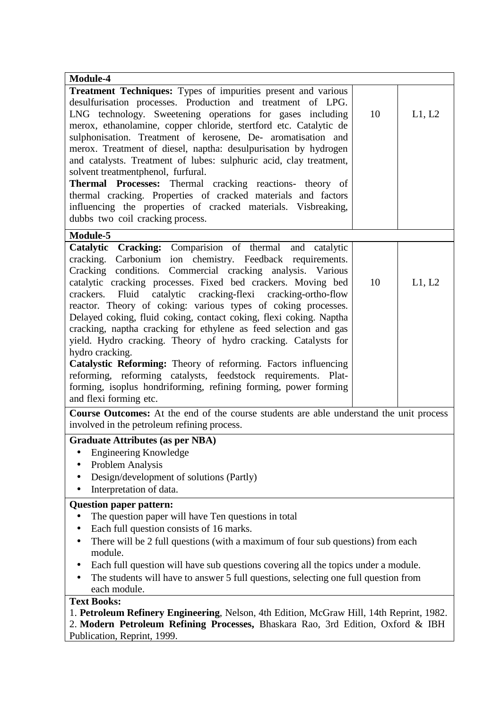| Module-4                                                                                                                                                                    |    |        |  |  |
|-----------------------------------------------------------------------------------------------------------------------------------------------------------------------------|----|--------|--|--|
| Treatment Techniques: Types of impurities present and various                                                                                                               |    |        |  |  |
| desulfurisation processes. Production and treatment of LPG.                                                                                                                 | 10 |        |  |  |
| LNG technology. Sweetening operations for gases including<br>merox, ethanolamine, copper chloride, stertford etc. Catalytic de                                              |    | L1, L2 |  |  |
| sulphonisation. Treatment of kerosene, De- aromatisation and                                                                                                                |    |        |  |  |
| merox. Treatment of diesel, naptha: desulpurisation by hydrogen                                                                                                             |    |        |  |  |
| and catalysts. Treatment of lubes: sulphuric acid, clay treatment,                                                                                                          |    |        |  |  |
| solvent treatmentphenol, furfural.                                                                                                                                          |    |        |  |  |
| Thermal Processes: Thermal cracking reactions- theory of                                                                                                                    |    |        |  |  |
| thermal cracking. Properties of cracked materials and factors                                                                                                               |    |        |  |  |
| influencing the properties of cracked materials. Visbreaking,                                                                                                               |    |        |  |  |
| dubbs two coil cracking process.                                                                                                                                            |    |        |  |  |
| Module-5                                                                                                                                                                    |    |        |  |  |
| Catalytic Cracking: Comparision of thermal and catalytic                                                                                                                    |    |        |  |  |
| cracking. Carbonium ion chemistry. Feedback requirements.                                                                                                                   |    |        |  |  |
| Cracking conditions. Commercial cracking analysis. Various<br>catalytic cracking processes. Fixed bed crackers. Moving bed                                                  | 10 | L1, L2 |  |  |
| crackers. Fluid catalytic cracking-flexi cracking-ortho-flow                                                                                                                |    |        |  |  |
| reactor. Theory of coking: various types of coking processes.                                                                                                               |    |        |  |  |
| Delayed coking, fluid coking, contact coking, flexi coking. Naptha                                                                                                          |    |        |  |  |
| cracking, naptha cracking for ethylene as feed selection and gas                                                                                                            |    |        |  |  |
| yield. Hydro cracking. Theory of hydro cracking. Catalysts for                                                                                                              |    |        |  |  |
| hydro cracking.                                                                                                                                                             |    |        |  |  |
| Catalystic Reforming: Theory of reforming. Factors influencing                                                                                                              |    |        |  |  |
| reforming, reforming catalysts, feedstock requirements. Plat-                                                                                                               |    |        |  |  |
| forming, isoplus hondriforming, refining forming, power forming<br>and flexi forming etc.                                                                                   |    |        |  |  |
| Course Outcomes: At the end of the course students are able understand the unit process                                                                                     |    |        |  |  |
| involved in the petroleum refining process.                                                                                                                                 |    |        |  |  |
| <b>Graduate Attributes (as per NBA)</b>                                                                                                                                     |    |        |  |  |
| <b>Engineering Knowledge</b>                                                                                                                                                |    |        |  |  |
| Problem Analysis                                                                                                                                                            |    |        |  |  |
| Design/development of solutions (Partly)                                                                                                                                    |    |        |  |  |
| Interpretation of data.                                                                                                                                                     |    |        |  |  |
| <b>Question paper pattern:</b>                                                                                                                                              |    |        |  |  |
| The question paper will have Ten questions in total                                                                                                                         |    |        |  |  |
| Each full question consists of 16 marks.                                                                                                                                    |    |        |  |  |
| There will be 2 full questions (with a maximum of four sub questions) from each                                                                                             |    |        |  |  |
| module.                                                                                                                                                                     |    |        |  |  |
| Each full question will have sub questions covering all the topics under a module.                                                                                          |    |        |  |  |
| The students will have to answer 5 full questions, selecting one full question from                                                                                         |    |        |  |  |
| each module.                                                                                                                                                                |    |        |  |  |
| <b>Text Books:</b>                                                                                                                                                          |    |        |  |  |
| 1. Petroleum Refinery Engineering, Nelson, 4th Edition, McGraw Hill, 14th Reprint, 1982.<br>2. Modern Petroleum Refining Processes, Bhaskara Rao, 3rd Edition, Oxford & IBH |    |        |  |  |
| Publication, Reprint, 1999.                                                                                                                                                 |    |        |  |  |
|                                                                                                                                                                             |    |        |  |  |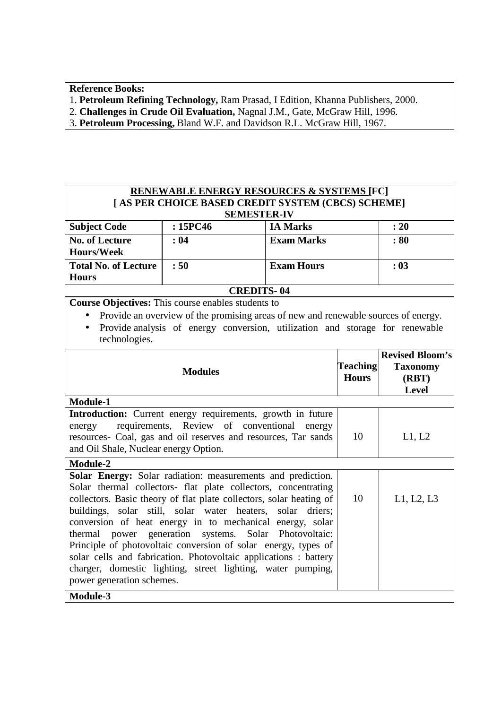**Reference Books:**

- 1. **Petroleum Refining Technology,** Ram Prasad, I Edition, Khanna Publishers, 2000.
- 2. **Challenges in Crude Oil Evaluation,** Nagnal J.M., Gate, McGraw Hill, 1996.
- 3. **Petroleum Processing,** Bland W.F. and Davidson R.L. McGraw Hill, 1967.

| : 15PC46<br><b>IA Marks</b><br>: 20<br><b>Subject Code</b><br><b>No. of Lecture</b><br>: 04<br><b>Exam Marks</b><br>: 80<br><b>Hours/Week</b><br>:50<br><b>Exam Hours</b><br><b>Total No. of Lecture</b><br>: 03<br><b>Hours</b><br><b>CREDITS-04</b><br><b>Course Objectives:</b> This course enables students to<br>Provide an overview of the promising areas of new and renewable sources of energy.<br>Provide analysis of energy conversion, utilization and storage for renewable<br>$\bullet$<br>technologies.<br><b>Teaching</b><br><b>Taxonomy</b><br><b>Modules</b><br><b>Hours</b><br>(RBT)<br><b>Level</b><br>Module-1<br>Introduction: Current energy requirements, growth in future<br>requirements, Review of conventional<br>energy<br>energy<br>resources- Coal, gas and oil reserves and resources, Tar sands<br>10<br>L1, L2<br>and Oil Shale, Nuclear energy Option.<br>Module-2<br>Solar Energy: Solar radiation: measurements and prediction. |  | <b>RENEWABLE ENERGY RESOURCES &amp; SYSTEMS [FC]</b><br>[ AS PER CHOICE BASED CREDIT SYSTEM (CBCS) SCHEME]<br><b>SEMESTER-IV</b> |  |                        |  |
|----------------------------------------------------------------------------------------------------------------------------------------------------------------------------------------------------------------------------------------------------------------------------------------------------------------------------------------------------------------------------------------------------------------------------------------------------------------------------------------------------------------------------------------------------------------------------------------------------------------------------------------------------------------------------------------------------------------------------------------------------------------------------------------------------------------------------------------------------------------------------------------------------------------------------------------------------------------------|--|----------------------------------------------------------------------------------------------------------------------------------|--|------------------------|--|
|                                                                                                                                                                                                                                                                                                                                                                                                                                                                                                                                                                                                                                                                                                                                                                                                                                                                                                                                                                      |  |                                                                                                                                  |  |                        |  |
|                                                                                                                                                                                                                                                                                                                                                                                                                                                                                                                                                                                                                                                                                                                                                                                                                                                                                                                                                                      |  |                                                                                                                                  |  |                        |  |
|                                                                                                                                                                                                                                                                                                                                                                                                                                                                                                                                                                                                                                                                                                                                                                                                                                                                                                                                                                      |  |                                                                                                                                  |  |                        |  |
|                                                                                                                                                                                                                                                                                                                                                                                                                                                                                                                                                                                                                                                                                                                                                                                                                                                                                                                                                                      |  |                                                                                                                                  |  |                        |  |
|                                                                                                                                                                                                                                                                                                                                                                                                                                                                                                                                                                                                                                                                                                                                                                                                                                                                                                                                                                      |  |                                                                                                                                  |  |                        |  |
|                                                                                                                                                                                                                                                                                                                                                                                                                                                                                                                                                                                                                                                                                                                                                                                                                                                                                                                                                                      |  |                                                                                                                                  |  | <b>Revised Bloom's</b> |  |
|                                                                                                                                                                                                                                                                                                                                                                                                                                                                                                                                                                                                                                                                                                                                                                                                                                                                                                                                                                      |  |                                                                                                                                  |  |                        |  |
|                                                                                                                                                                                                                                                                                                                                                                                                                                                                                                                                                                                                                                                                                                                                                                                                                                                                                                                                                                      |  |                                                                                                                                  |  |                        |  |
|                                                                                                                                                                                                                                                                                                                                                                                                                                                                                                                                                                                                                                                                                                                                                                                                                                                                                                                                                                      |  |                                                                                                                                  |  |                        |  |
| Solar thermal collectors- flat plate collectors, concentrating<br>collectors. Basic theory of flat plate collectors, solar heating of<br>10<br>L1, L2, L3<br>buildings, solar still, solar water heaters, solar driers;<br>conversion of heat energy in to mechanical energy, solar<br>thermal power generation systems. Solar Photovoltaic:<br>Principle of photovoltaic conversion of solar energy, types of<br>solar cells and fabrication. Photovoltaic applications : battery<br>charger, domestic lighting, street lighting, water pumping,<br>power generation schemes.                                                                                                                                                                                                                                                                                                                                                                                       |  |                                                                                                                                  |  |                        |  |
| Module-3                                                                                                                                                                                                                                                                                                                                                                                                                                                                                                                                                                                                                                                                                                                                                                                                                                                                                                                                                             |  |                                                                                                                                  |  |                        |  |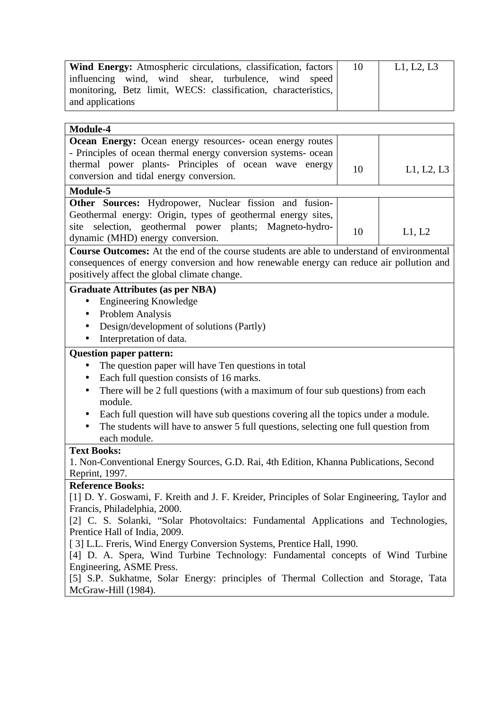| Wind Energy: Atmospheric circulations, classification, factors | 10 | L1, L2, L3 |
|----------------------------------------------------------------|----|------------|
| influencing wind, wind shear, turbulence, wind speed           |    |            |
| monitoring, Betz limit, WECS: classification, characteristics, |    |            |
| and applications                                               |    |            |

| Module-4                                                                                                                                                                                                                               |    |            |  |
|----------------------------------------------------------------------------------------------------------------------------------------------------------------------------------------------------------------------------------------|----|------------|--|
| <b>Ocean Energy:</b> Ocean energy resources- ocean energy routes<br>- Principles of ocean thermal energy conversion systems- ocean<br>thermal power plants- Principles of ocean wave energy<br>conversion and tidal energy conversion. | 10 | L1, L2, L3 |  |
| Module-5                                                                                                                                                                                                                               |    |            |  |
| Other Sources: Hydropower, Nuclear fission and fusion-<br>Geothermal energy: Origin, types of geothermal energy sites,<br>selection, geothermal power plants; Magneto-hydro-<br>site<br>dynamic (MHD) energy conversion.               | 10 | L1, L2     |  |
| Course Outcomes: At the end of the course students are able to understand of environmental                                                                                                                                             |    |            |  |
| consequences of energy conversion and how renewable energy can reduce air pollution and<br>positively affect the global climate change.                                                                                                |    |            |  |
| <b>Graduate Attributes (as per NBA)</b>                                                                                                                                                                                                |    |            |  |
| <b>Engineering Knowledge</b><br>$\bullet$<br>Problem Analysis<br>$\bullet$<br>Design/development of solutions (Partly)<br>٠<br>Interpretation of data.                                                                                 |    |            |  |
| <b>Question paper pattern:</b>                                                                                                                                                                                                         |    |            |  |
| The question paper will have Ten questions in total<br>$\bullet$                                                                                                                                                                       |    |            |  |
| Each full question consists of 16 marks.<br>٠                                                                                                                                                                                          |    |            |  |
| There will be 2 full questions (with a maximum of four sub questions) from each<br>$\bullet$<br>module.                                                                                                                                |    |            |  |
| Each full question will have sub questions covering all the topics under a module.<br>$\bullet$<br>The students will have to answer 5 full questions, selecting one full question from<br>each module.                                 |    |            |  |
| <b>Text Books:</b>                                                                                                                                                                                                                     |    |            |  |
| 1. Non-Conventional Energy Sources, G.D. Rai, 4th Edition, Khanna Publications, Second<br>Reprint, 1997.                                                                                                                               |    |            |  |
| <b>Reference Books:</b>                                                                                                                                                                                                                |    |            |  |
| [1] D. Y. Goswami, F. Kreith and J. F. Kreider, Principles of Solar Engineering, Taylor and                                                                                                                                            |    |            |  |
| Francis, Philadelphia, 2000.                                                                                                                                                                                                           |    |            |  |
| [2] C. S. Solanki, "Solar Photovoltaics: Fundamental Applications and Technologies,                                                                                                                                                    |    |            |  |
| Prentice Hall of India, 2009.                                                                                                                                                                                                          |    |            |  |
| [3] L.L. Freris, Wind Energy Conversion Systems, Prentice Hall, 1990.<br>[4] D. A. Spera, Wind Turbine Technology: Fundamental concepts of Wind Turbine<br>Engineering, ASME Press.                                                    |    |            |  |
| [5] S.P. Sukhatme, Solar Energy: principles of Thermal Collection and Storage, Tata<br>McGraw-Hill (1984).                                                                                                                             |    |            |  |
|                                                                                                                                                                                                                                        |    |            |  |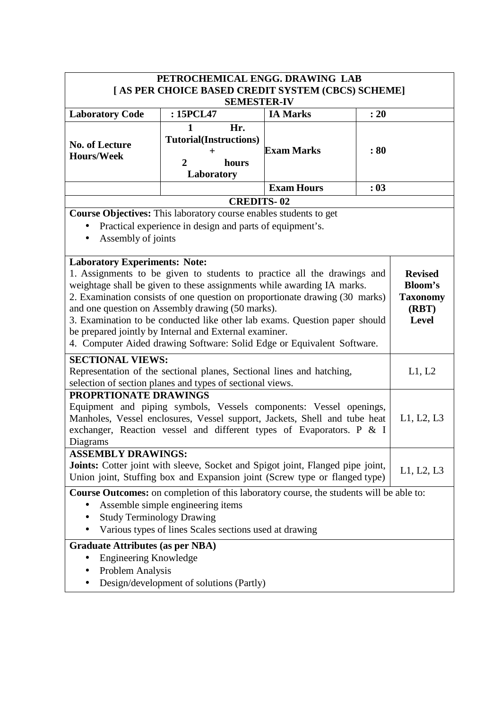| PETROCHEMICAL ENGG. DRAWING LAB                                                                                                                                                                                                                                                                                                                                                                                                                                                                                                                                                                                                |                                                                                                                                                                                                                         |                   |      |            |
|--------------------------------------------------------------------------------------------------------------------------------------------------------------------------------------------------------------------------------------------------------------------------------------------------------------------------------------------------------------------------------------------------------------------------------------------------------------------------------------------------------------------------------------------------------------------------------------------------------------------------------|-------------------------------------------------------------------------------------------------------------------------------------------------------------------------------------------------------------------------|-------------------|------|------------|
| [AS PER CHOICE BASED CREDIT SYSTEM (CBCS) SCHEME]                                                                                                                                                                                                                                                                                                                                                                                                                                                                                                                                                                              |                                                                                                                                                                                                                         |                   |      |            |
| <b>SEMESTER-IV</b><br>: 15PCL47<br><b>IA Marks</b><br>: 20                                                                                                                                                                                                                                                                                                                                                                                                                                                                                                                                                                     |                                                                                                                                                                                                                         |                   |      |            |
| <b>Laboratory Code</b>                                                                                                                                                                                                                                                                                                                                                                                                                                                                                                                                                                                                         |                                                                                                                                                                                                                         |                   |      |            |
| <b>No. of Lecture</b><br><b>Hours/Week</b>                                                                                                                                                                                                                                                                                                                                                                                                                                                                                                                                                                                     | Hr.<br><b>Tutorial(Instructions)</b><br>$\pm$<br>$\overline{2}$<br>hours<br>Laboratory                                                                                                                                  | <b>Exam Marks</b> | :80  |            |
|                                                                                                                                                                                                                                                                                                                                                                                                                                                                                                                                                                                                                                |                                                                                                                                                                                                                         | <b>Exam Hours</b> | : 03 |            |
|                                                                                                                                                                                                                                                                                                                                                                                                                                                                                                                                                                                                                                | <b>CREDITS-02</b>                                                                                                                                                                                                       |                   |      |            |
| Assembly of joints                                                                                                                                                                                                                                                                                                                                                                                                                                                                                                                                                                                                             | Course Objectives: This laboratory course enables students to get<br>Practical experience in design and parts of equipment's.                                                                                           |                   |      |            |
| <b>Laboratory Experiments: Note:</b><br>1. Assignments to be given to students to practice all the drawings and<br><b>Revised</b><br>weightage shall be given to these assignments while awarding IA marks.<br><b>Bloom's</b><br>2. Examination consists of one question on proportionate drawing (30 marks)<br><b>Taxonomy</b><br>and one question on Assembly drawing (50 marks).<br>(RBT)<br>3. Examination to be conducted like other lab exams. Question paper should<br><b>Level</b><br>be prepared jointly by Internal and External examiner.<br>4. Computer Aided drawing Software: Solid Edge or Equivalent Software. |                                                                                                                                                                                                                         |                   |      |            |
| <b>SECTIONAL VIEWS:</b>                                                                                                                                                                                                                                                                                                                                                                                                                                                                                                                                                                                                        | Representation of the sectional planes, Sectional lines and hatching,<br>selection of section planes and types of sectional views.                                                                                      |                   |      | L1, L2     |
| PROPRTIONATE DRAWINGS<br>Diagrams                                                                                                                                                                                                                                                                                                                                                                                                                                                                                                                                                                                              | Equipment and piping symbols, Vessels components: Vessel openings,<br>Manholes, Vessel enclosures, Vessel support, Jackets, Shell and tube heat<br>exchanger, Reaction vessel and different types of Evaporators. P & I |                   |      | L1, L2, L3 |
| <b>ASSEMBLY DRAWINGS:</b>                                                                                                                                                                                                                                                                                                                                                                                                                                                                                                                                                                                                      | Joints: Cotter joint with sleeve, Socket and Spigot joint, Flanged pipe joint,<br>Union joint, Stuffing box and Expansion joint (Screw type or flanged type)                                                            |                   |      | L1, L2, L3 |
| Course Outcomes: on completion of this laboratory course, the students will be able to:<br>Assemble simple engineering items<br><b>Study Terminology Drawing</b><br>Various types of lines Scales sections used at drawing                                                                                                                                                                                                                                                                                                                                                                                                     |                                                                                                                                                                                                                         |                   |      |            |
| <b>Graduate Attributes (as per NBA)</b><br><b>Engineering Knowledge</b><br>٠<br>Problem Analysis                                                                                                                                                                                                                                                                                                                                                                                                                                                                                                                               | Design/development of solutions (Partly)                                                                                                                                                                                |                   |      |            |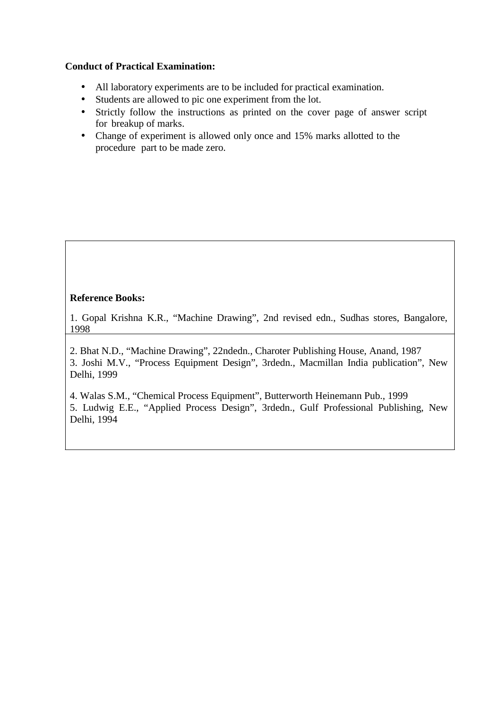### **Conduct of Practical Examination:**

- All laboratory experiments are to be included for practical examination.
- Students are allowed to pic one experiment from the lot.
- Strictly follow the instructions as printed on the cover page of answer script for breakup of marks.
- Change of experiment is allowed only once and 15% marks allotted to the procedure part to be made zero.

### **Reference Books:**

1. Gopal Krishna K.R., "Machine Drawing", 2nd revised edn., Sudhas stores, Bangalore, 1998

2. Bhat N.D., "Machine Drawing", 22ndedn., Charoter Publishing House, Anand, 1987 3. Joshi M.V., "Process Equipment Design", 3rdedn., Macmillan India publication", New Delhi, 1999

4. Walas S.M., "Chemical Process Equipment", Butterworth Heinemann Pub., 1999 5. Ludwig E.E., "Applied Process Design", 3rdedn., Gulf Professional Publishing, New Delhi, 1994